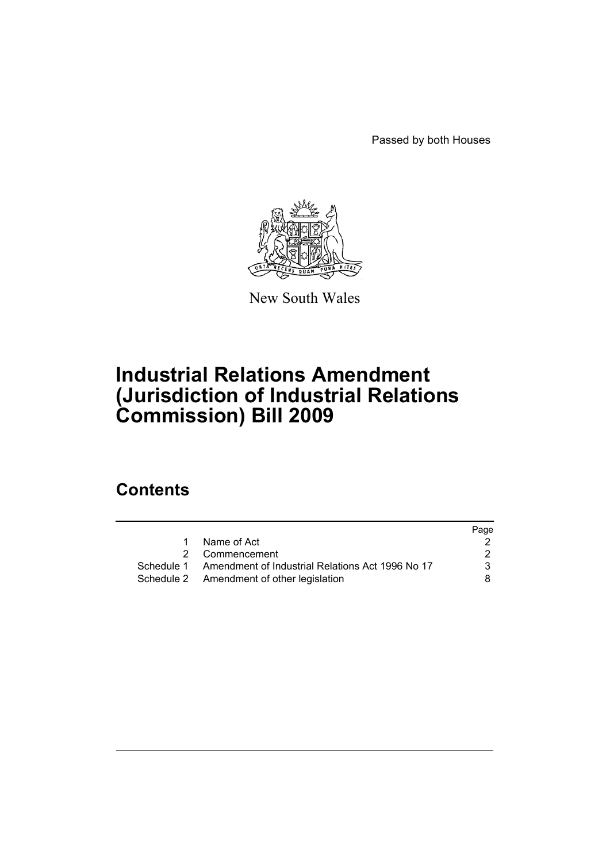Passed by both Houses



New South Wales

# **Industrial Relations Amendment (Jurisdiction of Industrial Relations Commission) Bill 2009**

# **Contents**

|             | Page                                                                                                                            |
|-------------|---------------------------------------------------------------------------------------------------------------------------------|
| Name of Act |                                                                                                                                 |
|             |                                                                                                                                 |
|             | 3                                                                                                                               |
|             | 8                                                                                                                               |
|             | 1<br>2 Commencement<br>Schedule 1 Amendment of Industrial Relations Act 1996 No 17<br>Schedule 2 Amendment of other legislation |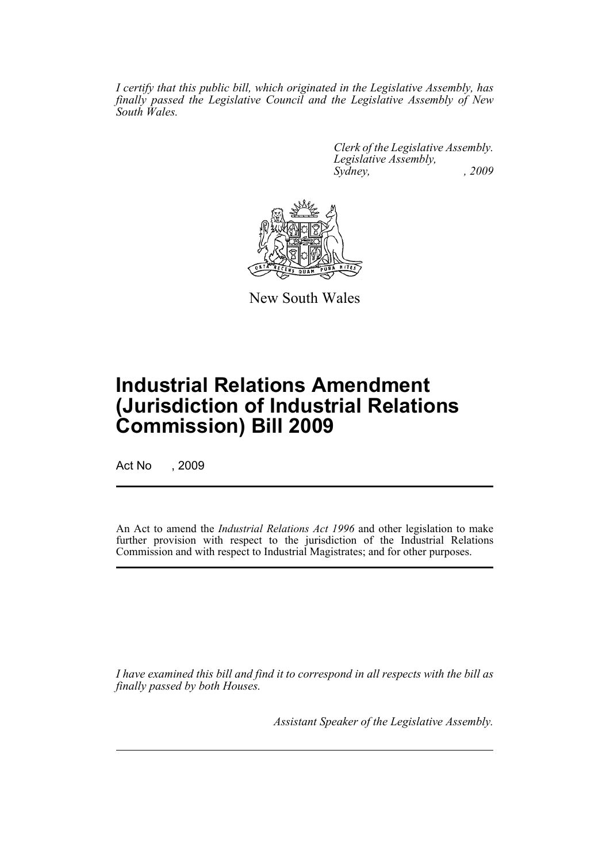*I certify that this public bill, which originated in the Legislative Assembly, has finally passed the Legislative Council and the Legislative Assembly of New South Wales.*

> *Clerk of the Legislative Assembly. Legislative Assembly, Sydney, , 2009*



New South Wales

# **Industrial Relations Amendment (Jurisdiction of Industrial Relations Commission) Bill 2009**

Act No , 2009

An Act to amend the *Industrial Relations Act 1996* and other legislation to make further provision with respect to the jurisdiction of the Industrial Relations Commission and with respect to Industrial Magistrates; and for other purposes.

*I have examined this bill and find it to correspond in all respects with the bill as finally passed by both Houses.*

*Assistant Speaker of the Legislative Assembly.*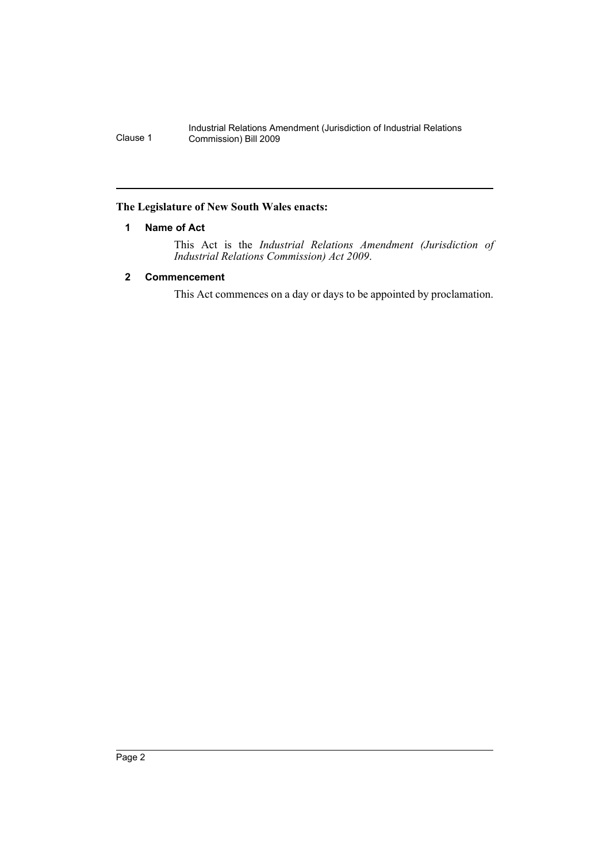## <span id="page-3-0"></span>**The Legislature of New South Wales enacts:**

# **1 Name of Act**

This Act is the *Industrial Relations Amendment (Jurisdiction of Industrial Relations Commission) Act 2009*.

# <span id="page-3-1"></span>**2 Commencement**

This Act commences on a day or days to be appointed by proclamation.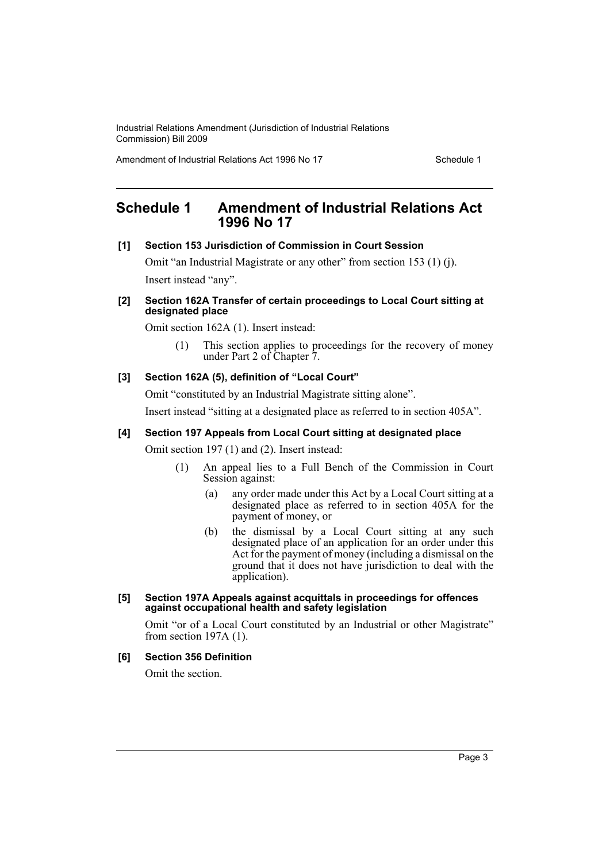Amendment of Industrial Relations Act 1996 No 17 Schedule 1

# <span id="page-4-0"></span>**Schedule 1 Amendment of Industrial Relations Act 1996 No 17**

#### **[1] Section 153 Jurisdiction of Commission in Court Session**

Omit "an Industrial Magistrate or any other" from section 153 (1) (j). Insert instead "any".

#### **[2] Section 162A Transfer of certain proceedings to Local Court sitting at designated place**

Omit section 162A (1). Insert instead:

(1) This section applies to proceedings for the recovery of money under Part 2 of Chapter 7.

#### **[3] Section 162A (5), definition of "Local Court"**

Omit "constituted by an Industrial Magistrate sitting alone". Insert instead "sitting at a designated place as referred to in section 405A".

## **[4] Section 197 Appeals from Local Court sitting at designated place**

Omit section 197 (1) and (2). Insert instead:

- (1) An appeal lies to a Full Bench of the Commission in Court Session against:
	- (a) any order made under this Act by a Local Court sitting at a designated place as referred to in section 405A for the payment of money, or
	- (b) the dismissal by a Local Court sitting at any such designated place of an application for an order under this Act for the payment of money (including a dismissal on the ground that it does not have jurisdiction to deal with the application).

#### **[5] Section 197A Appeals against acquittals in proceedings for offences against occupational health and safety legislation**

Omit "or of a Local Court constituted by an Industrial or other Magistrate" from section 197A (1).

## **[6] Section 356 Definition**

Omit the section.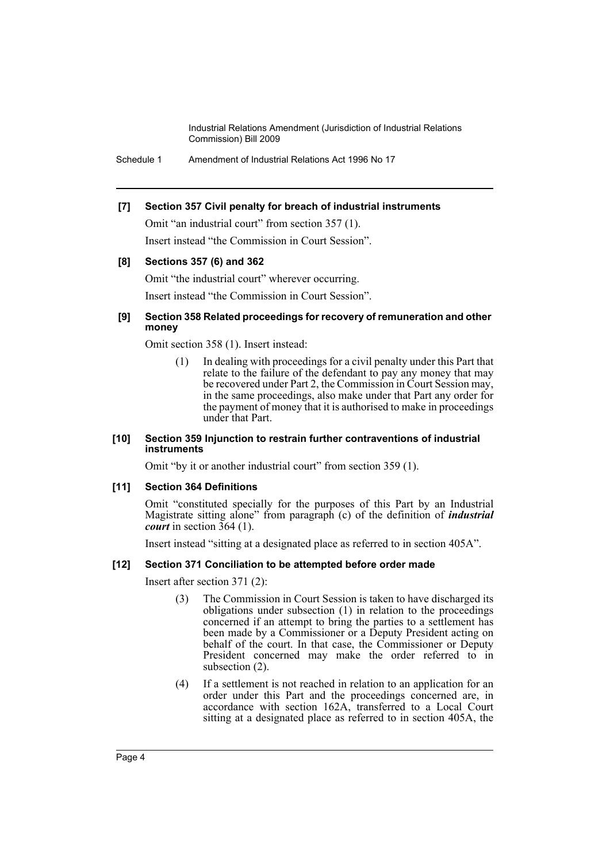Schedule 1 Amendment of Industrial Relations Act 1996 No 17

## **[7] Section 357 Civil penalty for breach of industrial instruments**

Omit "an industrial court" from section 357 (1). Insert instead "the Commission in Court Session".

## **[8] Sections 357 (6) and 362**

Omit "the industrial court" wherever occurring. Insert instead "the Commission in Court Session".

#### **[9] Section 358 Related proceedings for recovery of remuneration and other money**

Omit section 358 (1). Insert instead:

(1) In dealing with proceedings for a civil penalty under this Part that relate to the failure of the defendant to pay any money that may be recovered under Part 2, the Commission in Court Session may, in the same proceedings, also make under that Part any order for the payment of money that it is authorised to make in proceedings under that Part.

#### **[10] Section 359 Injunction to restrain further contraventions of industrial instruments**

Omit "by it or another industrial court" from section 359 (1).

#### **[11] Section 364 Definitions**

Omit "constituted specially for the purposes of this Part by an Industrial Magistrate sitting alone" from paragraph (c) of the definition of *industrial court* in section 364 (1).

Insert instead "sitting at a designated place as referred to in section 405A".

## **[12] Section 371 Conciliation to be attempted before order made**

Insert after section 371 (2):

- (3) The Commission in Court Session is taken to have discharged its obligations under subsection (1) in relation to the proceedings concerned if an attempt to bring the parties to a settlement has been made by a Commissioner or a Deputy President acting on behalf of the court. In that case, the Commissioner or Deputy President concerned may make the order referred to in subsection (2).
- (4) If a settlement is not reached in relation to an application for an order under this Part and the proceedings concerned are, in accordance with section 162A, transferred to a Local Court sitting at a designated place as referred to in section 405A, the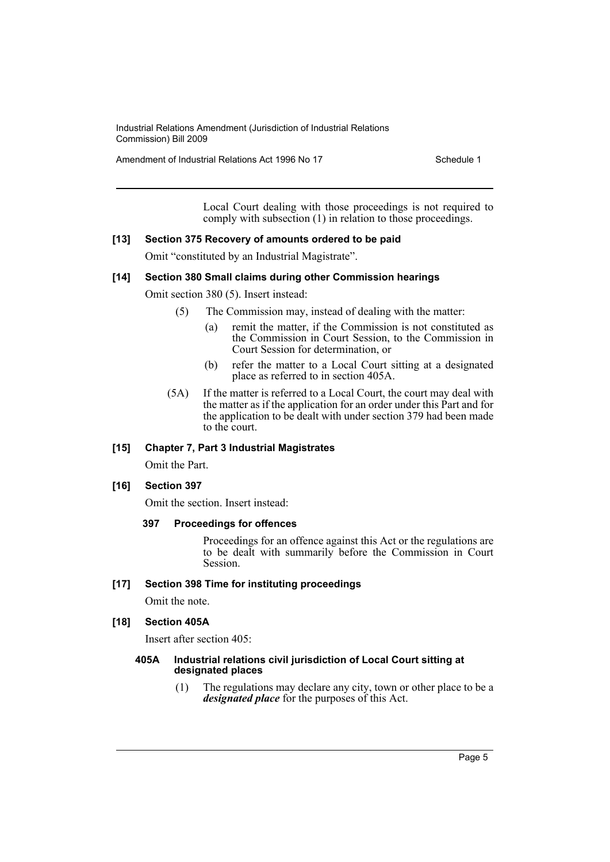Amendment of Industrial Relations Act 1996 No 17 Schedule 1

Local Court dealing with those proceedings is not required to comply with subsection (1) in relation to those proceedings.

#### **[13] Section 375 Recovery of amounts ordered to be paid**

Omit "constituted by an Industrial Magistrate".

# **[14] Section 380 Small claims during other Commission hearings**

Omit section 380 (5). Insert instead:

- (5) The Commission may, instead of dealing with the matter:
	- (a) remit the matter, if the Commission is not constituted as the Commission in Court Session, to the Commission in Court Session for determination, or
	- (b) refer the matter to a Local Court sitting at a designated place as referred to in section 405A.
- (5A) If the matter is referred to a Local Court, the court may deal with the matter as if the application for an order under this Part and for the application to be dealt with under section 379 had been made to the court.

#### **[15] Chapter 7, Part 3 Industrial Magistrates**

Omit the Part.

#### **[16] Section 397**

Omit the section. Insert instead:

#### **397 Proceedings for offences**

Proceedings for an offence against this Act or the regulations are to be dealt with summarily before the Commission in Court Session.

#### **[17] Section 398 Time for instituting proceedings**

Omit the note.

#### **[18] Section 405A**

Insert after section 405:

#### **405A Industrial relations civil jurisdiction of Local Court sitting at designated places**

(1) The regulations may declare any city, town or other place to be a *designated place* for the purposes of this Act.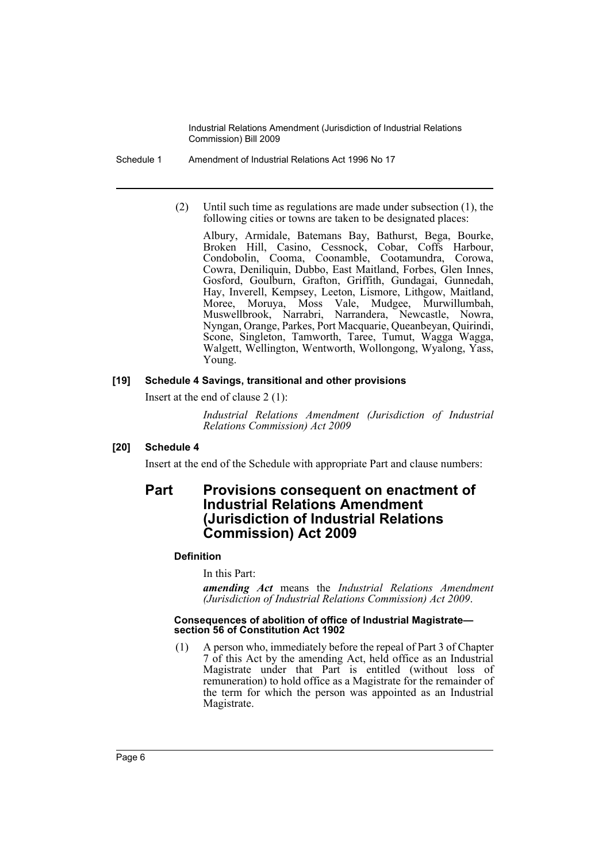Schedule 1 Amendment of Industrial Relations Act 1996 No 17

(2) Until such time as regulations are made under subsection (1), the following cities or towns are taken to be designated places:

Albury, Armidale, Batemans Bay, Bathurst, Bega, Bourke, Broken Hill, Casino, Cessnock, Cobar, Coffs Harbour, Condobolin, Cooma, Coonamble, Cootamundra, Corowa, Cowra, Deniliquin, Dubbo, East Maitland, Forbes, Glen Innes, Gosford, Goulburn, Grafton, Griffith, Gundagai, Gunnedah, Hay, Inverell, Kempsey, Leeton, Lismore, Lithgow, Maitland, Moree, Moruya, Moss Vale, Mudgee, Murwillumbah, Muswellbrook, Narrabri, Narrandera, Newcastle, Nowra, Nyngan, Orange, Parkes, Port Macquarie, Queanbeyan, Quirindi, Scone, Singleton, Tamworth, Taree, Tumut, Wagga Wagga, Walgett, Wellington, Wentworth, Wollongong, Wyalong, Yass, Young.

#### **[19] Schedule 4 Savings, transitional and other provisions**

Insert at the end of clause 2 (1):

*Industrial Relations Amendment (Jurisdiction of Industrial Relations Commission) Act 2009*

## **[20] Schedule 4**

Insert at the end of the Schedule with appropriate Part and clause numbers:

# **Part Provisions consequent on enactment of Industrial Relations Amendment (Jurisdiction of Industrial Relations Commission) Act 2009**

## **Definition**

In this Part:

*amending Act* means the *Industrial Relations Amendment (Jurisdiction of Industrial Relations Commission) Act 2009*.

#### **Consequences of abolition of office of Industrial Magistrate section 56 of Constitution Act 1902**

(1) A person who, immediately before the repeal of Part 3 of Chapter 7 of this Act by the amending Act, held office as an Industrial Magistrate under that Part is entitled (without loss of remuneration) to hold office as a Magistrate for the remainder of the term for which the person was appointed as an Industrial Magistrate.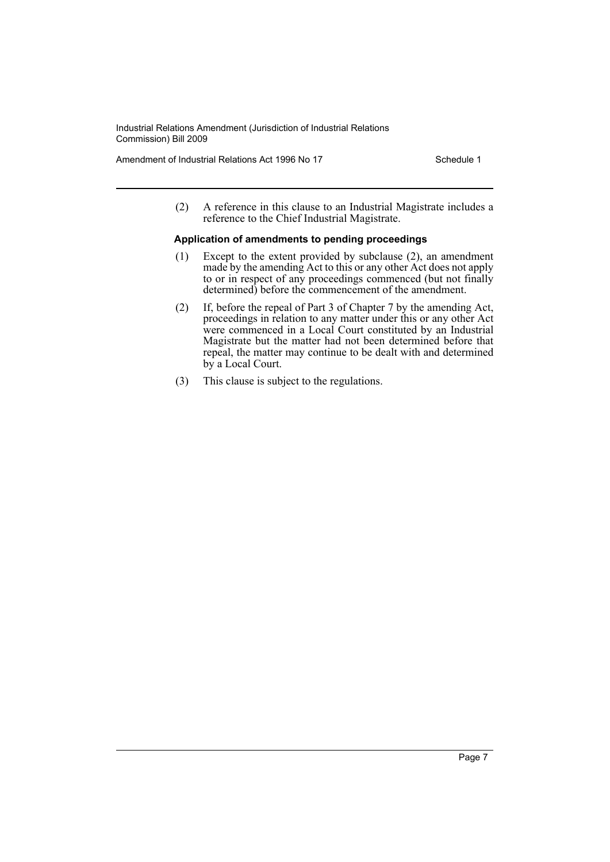Amendment of Industrial Relations Act 1996 No 17 Schedule 1

(2) A reference in this clause to an Industrial Magistrate includes a reference to the Chief Industrial Magistrate.

#### **Application of amendments to pending proceedings**

- (1) Except to the extent provided by subclause (2), an amendment made by the amending Act to this or any other Act does not apply to or in respect of any proceedings commenced (but not finally determined) before the commencement of the amendment.
- (2) If, before the repeal of Part 3 of Chapter 7 by the amending Act, proceedings in relation to any matter under this or any other Act were commenced in a Local Court constituted by an Industrial Magistrate but the matter had not been determined before that repeal, the matter may continue to be dealt with and determined by a Local Court.
- (3) This clause is subject to the regulations.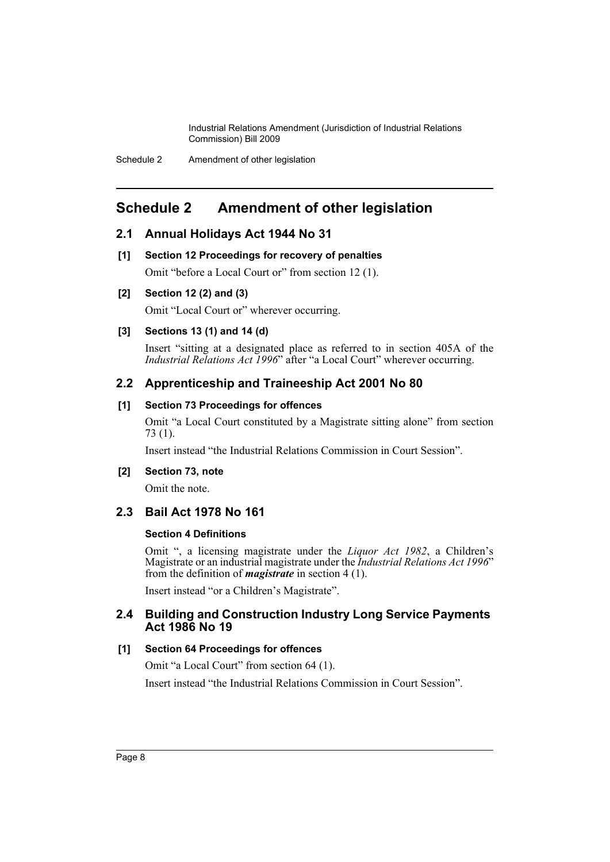# <span id="page-9-0"></span>**Schedule 2 Amendment of other legislation**

# **2.1 Annual Holidays Act 1944 No 31**

**[1] Section 12 Proceedings for recovery of penalties**

Omit "before a Local Court or" from section 12 (1).

# **[2] Section 12 (2) and (3)**

Omit "Local Court or" wherever occurring.

# **[3] Sections 13 (1) and 14 (d)**

Insert "sitting at a designated place as referred to in section 405A of the *Industrial Relations Act 1996*" after "a Local Court" wherever occurring.

# **2.2 Apprenticeship and Traineeship Act 2001 No 80**

## **[1] Section 73 Proceedings for offences**

Omit "a Local Court constituted by a Magistrate sitting alone" from section 73 (1).

Insert instead "the Industrial Relations Commission in Court Session".

## **[2] Section 73, note**

Omit the note.

# **2.3 Bail Act 1978 No 161**

## **Section 4 Definitions**

Omit ", a licensing magistrate under the *Liquor Act 1982*, a Children's Magistrate or an industrial magistrate under the *Industrial Relations Act 1996*" from the definition of *magistrate* in section 4 (1).

Insert instead "or a Children's Magistrate".

# **2.4 Building and Construction Industry Long Service Payments Act 1986 No 19**

## **[1] Section 64 Proceedings for offences**

Omit "a Local Court" from section 64 (1).

Insert instead "the Industrial Relations Commission in Court Session".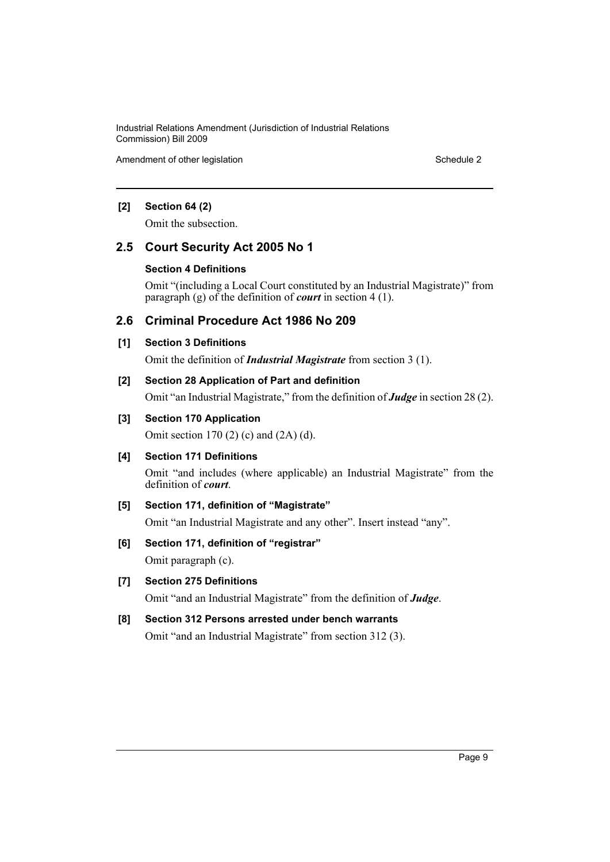Amendment of other legislation Schedule 2

# **[2] Section 64 (2)**

Omit the subsection.

# **2.5 Court Security Act 2005 No 1**

#### **Section 4 Definitions**

Omit "(including a Local Court constituted by an Industrial Magistrate)" from paragraph (g) of the definition of *court* in section 4 (1).

# **2.6 Criminal Procedure Act 1986 No 209**

## **[1] Section 3 Definitions**

Omit the definition of *Industrial Magistrate* from section 3 (1).

## **[2] Section 28 Application of Part and definition**

Omit "an Industrial Magistrate," from the definition of *Judge* in section 28 (2).

## **[3] Section 170 Application**

Omit section 170 (2) (c) and (2A) (d).

## **[4] Section 171 Definitions**

Omit "and includes (where applicable) an Industrial Magistrate" from the definition of *court*.

## **[5] Section 171, definition of "Magistrate"**

Omit "an Industrial Magistrate and any other". Insert instead "any".

## **[6] Section 171, definition of "registrar"**

Omit paragraph (c).

# **[7] Section 275 Definitions**

Omit "and an Industrial Magistrate" from the definition of *Judge*.

# **[8] Section 312 Persons arrested under bench warrants**

Omit "and an Industrial Magistrate" from section 312 (3).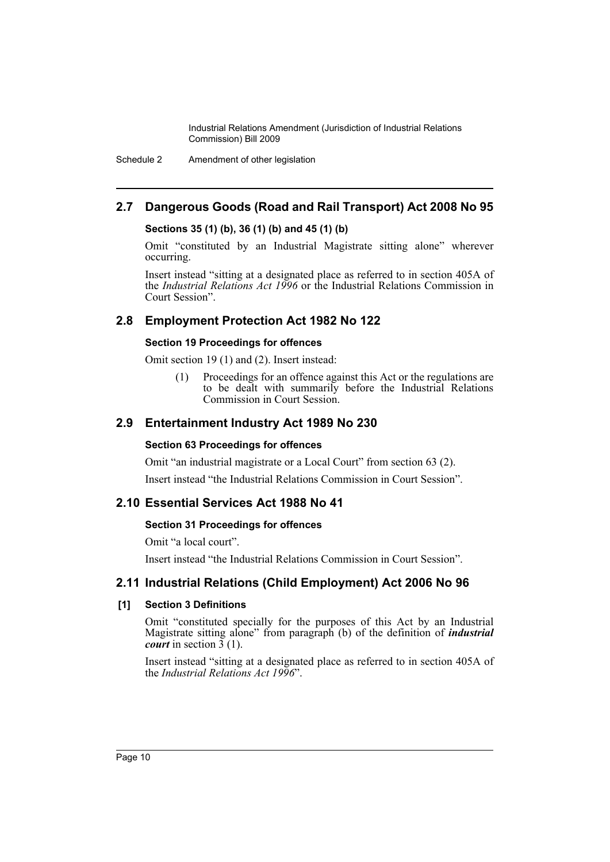Schedule 2 Amendment of other legislation

# **2.7 Dangerous Goods (Road and Rail Transport) Act 2008 No 95**

## **Sections 35 (1) (b), 36 (1) (b) and 45 (1) (b)**

Omit "constituted by an Industrial Magistrate sitting alone" wherever occurring.

Insert instead "sitting at a designated place as referred to in section 405A of the *Industrial Relations Act 1996* or the Industrial Relations Commission in Court Session".

# **2.8 Employment Protection Act 1982 No 122**

## **Section 19 Proceedings for offences**

Omit section 19 (1) and (2). Insert instead:

(1) Proceedings for an offence against this Act or the regulations are to be dealt with summarily before the Industrial Relations Commission in Court Session.

# **2.9 Entertainment Industry Act 1989 No 230**

#### **Section 63 Proceedings for offences**

Omit "an industrial magistrate or a Local Court" from section 63 (2).

Insert instead "the Industrial Relations Commission in Court Session".

# **2.10 Essential Services Act 1988 No 41**

## **Section 31 Proceedings for offences**

Omit "a local court".

Insert instead "the Industrial Relations Commission in Court Session".

# **2.11 Industrial Relations (Child Employment) Act 2006 No 96**

## **[1] Section 3 Definitions**

Omit "constituted specially for the purposes of this Act by an Industrial Magistrate sitting alone" from paragraph (b) of the definition of *industrial court* in section  $\frac{3}{2}(1)$ .

Insert instead "sitting at a designated place as referred to in section 405A of the *Industrial Relations Act 1996*".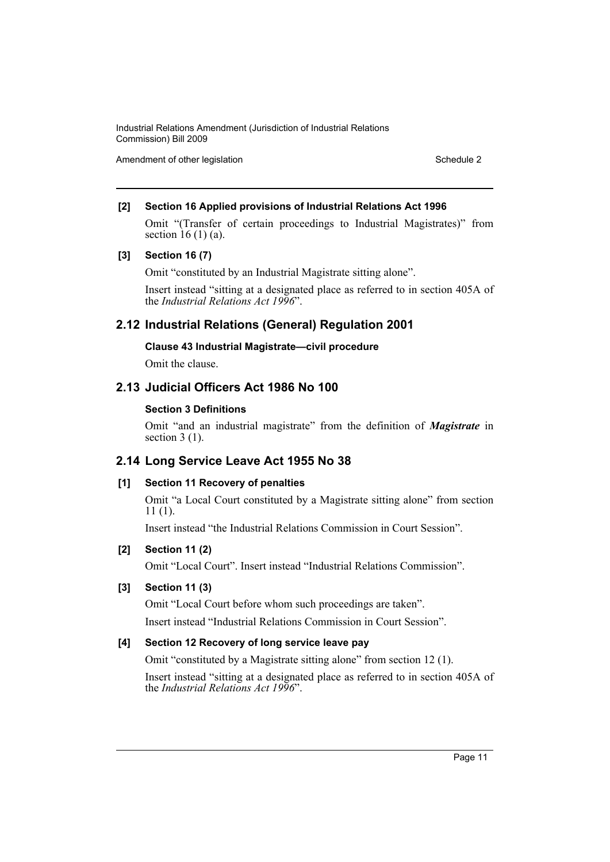Amendment of other legislation Schedule 2

# **[2] Section 16 Applied provisions of Industrial Relations Act 1996**

Omit "(Transfer of certain proceedings to Industrial Magistrates)" from section  $16(1)(a)$ .

## **[3] Section 16 (7)**

Omit "constituted by an Industrial Magistrate sitting alone".

Insert instead "sitting at a designated place as referred to in section 405A of the *Industrial Relations Act 1996*".

# **2.12 Industrial Relations (General) Regulation 2001**

## **Clause 43 Industrial Magistrate—civil procedure**

Omit the clause.

# **2.13 Judicial Officers Act 1986 No 100**

# **Section 3 Definitions**

Omit "and an industrial magistrate" from the definition of *Magistrate* in section  $3(1)$ .

# **2.14 Long Service Leave Act 1955 No 38**

# **[1] Section 11 Recovery of penalties**

Omit "a Local Court constituted by a Magistrate sitting alone" from section 11 (1).

Insert instead "the Industrial Relations Commission in Court Session".

# **[2] Section 11 (2)**

Omit "Local Court". Insert instead "Industrial Relations Commission".

# **[3] Section 11 (3)**

Omit "Local Court before whom such proceedings are taken".

Insert instead "Industrial Relations Commission in Court Session".

# **[4] Section 12 Recovery of long service leave pay**

Omit "constituted by a Magistrate sitting alone" from section 12 (1).

Insert instead "sitting at a designated place as referred to in section 405A of the *Industrial Relations Act 1996*".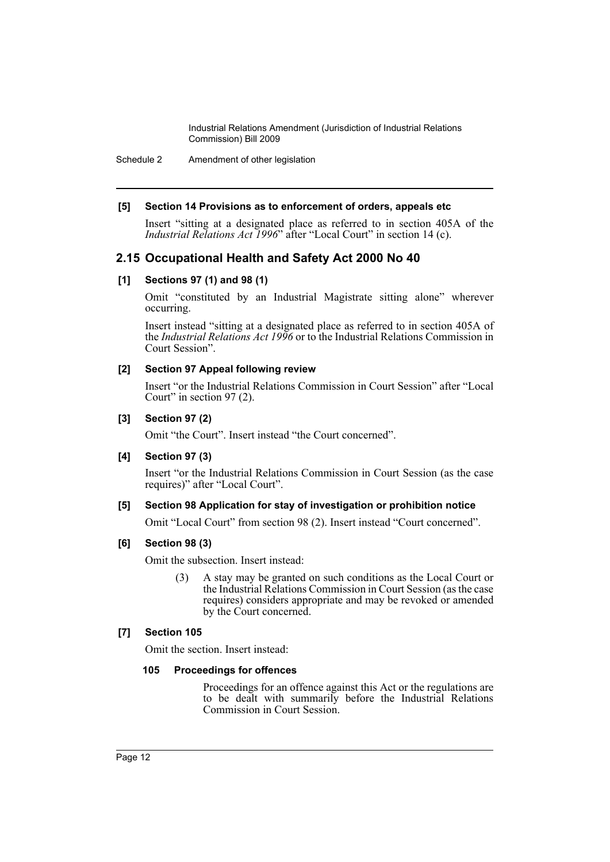Schedule 2 Amendment of other legislation

#### **[5] Section 14 Provisions as to enforcement of orders, appeals etc**

Insert "sitting at a designated place as referred to in section 405A of the *Industrial Relations Act 1996*" after "Local Court" in section 14 (c).

# **2.15 Occupational Health and Safety Act 2000 No 40**

## **[1] Sections 97 (1) and 98 (1)**

Omit "constituted by an Industrial Magistrate sitting alone" wherever occurring.

Insert instead "sitting at a designated place as referred to in section 405A of the *Industrial Relations Act 1996* or to the Industrial Relations Commission in Court Session".

#### **[2] Section 97 Appeal following review**

Insert "or the Industrial Relations Commission in Court Session" after "Local Court" in section 97 (2).

#### **[3] Section 97 (2)**

Omit "the Court". Insert instead "the Court concerned".

## **[4] Section 97 (3)**

Insert "or the Industrial Relations Commission in Court Session (as the case requires)" after "Local Court".

#### **[5] Section 98 Application for stay of investigation or prohibition notice**

Omit "Local Court" from section 98 (2). Insert instead "Court concerned".

## **[6] Section 98 (3)**

Omit the subsection. Insert instead:

(3) A stay may be granted on such conditions as the Local Court or the Industrial Relations Commission in Court Session (as the case requires) considers appropriate and may be revoked or amended by the Court concerned.

#### **[7] Section 105**

Omit the section. Insert instead:

#### **105 Proceedings for offences**

Proceedings for an offence against this Act or the regulations are to be dealt with summarily before the Industrial Relations Commission in Court Session.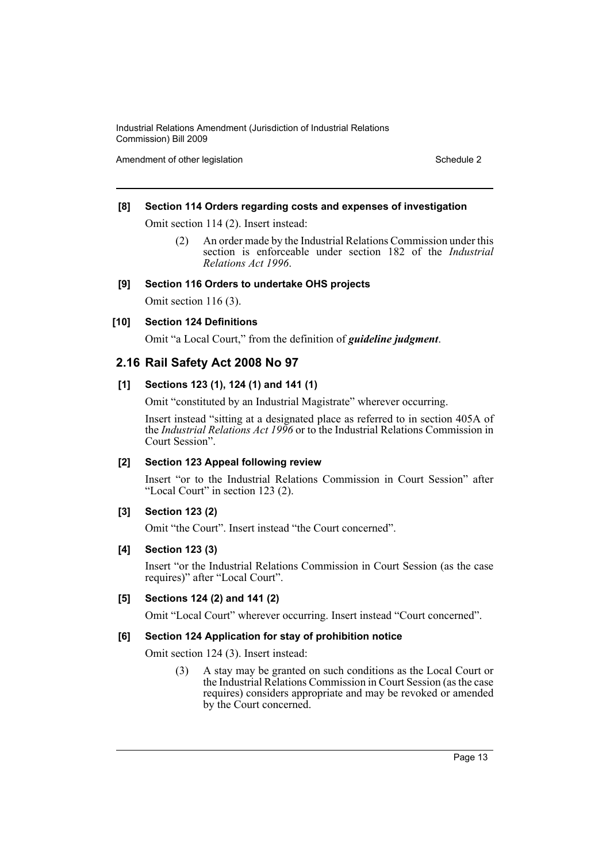Amendment of other legislation Schedule 2

## **[8] Section 114 Orders regarding costs and expenses of investigation**

Omit section 114 (2). Insert instead:

(2) An order made by the Industrial Relations Commission under this section is enforceable under section 182 of the *Industrial Relations Act 1996*.

#### **[9] Section 116 Orders to undertake OHS projects**

Omit section 116 (3).

## **[10] Section 124 Definitions**

Omit "a Local Court," from the definition of *guideline judgment*.

# **2.16 Rail Safety Act 2008 No 97**

#### **[1] Sections 123 (1), 124 (1) and 141 (1)**

Omit "constituted by an Industrial Magistrate" wherever occurring.

Insert instead "sitting at a designated place as referred to in section 405A of the *Industrial Relations Act 1996* or to the Industrial Relations Commission in Court Session".

## **[2] Section 123 Appeal following review**

Insert "or to the Industrial Relations Commission in Court Session" after "Local Court" in section 123 (2).

#### **[3] Section 123 (2)**

Omit "the Court". Insert instead "the Court concerned".

## **[4] Section 123 (3)**

Insert "or the Industrial Relations Commission in Court Session (as the case requires)" after "Local Court".

#### **[5] Sections 124 (2) and 141 (2)**

Omit "Local Court" wherever occurring. Insert instead "Court concerned".

## **[6] Section 124 Application for stay of prohibition notice**

Omit section 124 (3). Insert instead:

(3) A stay may be granted on such conditions as the Local Court or the Industrial Relations Commission in Court Session (as the case requires) considers appropriate and may be revoked or amended by the Court concerned.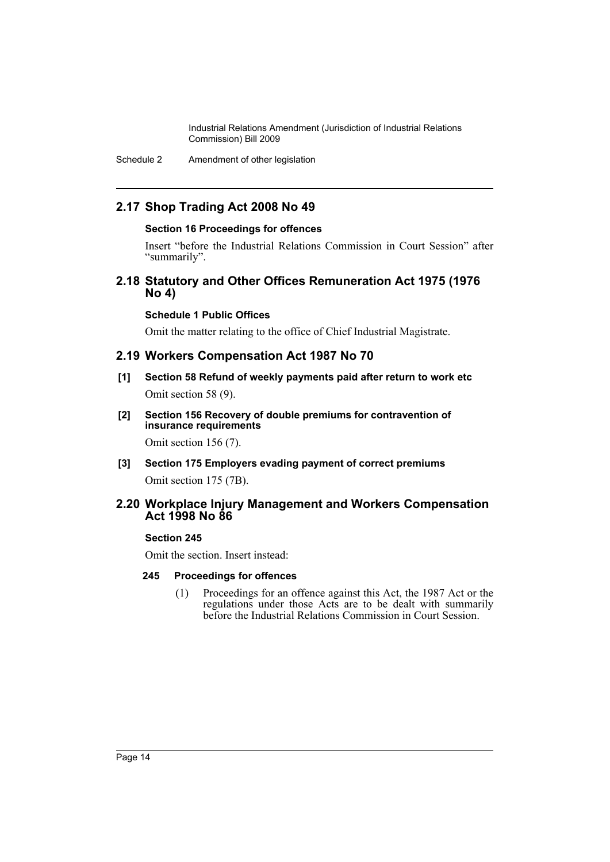Schedule 2 Amendment of other legislation

# **2.17 Shop Trading Act 2008 No 49**

#### **Section 16 Proceedings for offences**

Insert "before the Industrial Relations Commission in Court Session" after "summarily".

# **2.18 Statutory and Other Offices Remuneration Act 1975 (1976 No 4)**

## **Schedule 1 Public Offices**

Omit the matter relating to the office of Chief Industrial Magistrate.

## **2.19 Workers Compensation Act 1987 No 70**

- **[1] Section 58 Refund of weekly payments paid after return to work etc** Omit section 58 (9).
- **[2] Section 156 Recovery of double premiums for contravention of insurance requirements**

Omit section 156 (7).

**[3] Section 175 Employers evading payment of correct premiums** Omit section 175 (7B).

# **2.20 Workplace Injury Management and Workers Compensation Act 1998 No 86**

## **Section 245**

Omit the section. Insert instead:

## **245 Proceedings for offences**

(1) Proceedings for an offence against this Act, the 1987 Act or the regulations under those Acts are to be dealt with summarily before the Industrial Relations Commission in Court Session.